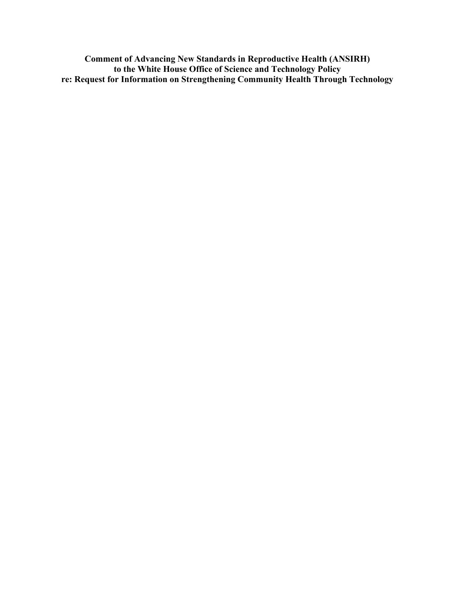**Comment of Advancing New Standards in Reproductive Health (ANSIRH) to the White House Office of Science and Technology Policy re: Request for Information on Strengthening Community Health Through Technology**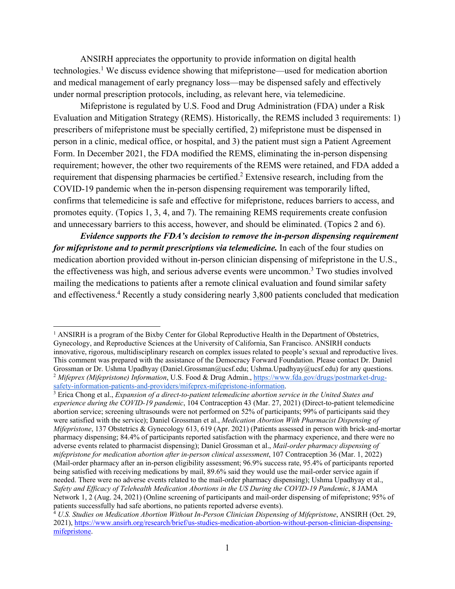ANSIRH appreciates the opportunity to provide information on digital health technologies.<sup>1</sup> We discuss evidence showing that mifepristone—used for medication abortion and medical management of early pregnancy loss—may be dispensed safely and effectively under normal prescription protocols, including, as relevant here, via telemedicine.

Mifepristone is regulated by U.S. Food and Drug Administration (FDA) under a Risk Evaluation and Mitigation Strategy (REMS). Historically, the REMS included 3 requirements: 1) prescribers of mifepristone must be specially certified, 2) mifepristone must be dispensed in person in a clinic, medical office, or hospital, and 3) the patient must sign a Patient Agreement Form. In December 2021, the FDA modified the REMS, eliminating the in-person dispensing requirement; however, the other two requirements of the REMS were retained, and FDA added a requirement that dispensing pharmacies be certified.<sup>2</sup> Extensive research, including from the COVID-19 pandemic when the in-person dispensing requirement was temporarily lifted, confirms that telemedicine is safe and effective for mifepristone, reduces barriers to access, and promotes equity. (Topics 1, 3, 4, and 7). The remaining REMS requirements create confusion and unnecessary barriers to this access, however, and should be eliminated. (Topics 2 and 6).

*Evidence supports the FDA's decision to remove the in-person dispensing requirement for mifepristone and to permit prescriptions via telemedicine.* In each of the four studies on medication abortion provided without in-person clinician dispensing of mifepristone in the U.S., the effectiveness was high, and serious adverse events were uncommon.<sup>3</sup> Two studies involved mailing the medications to patients after a remote clinical evaluation and found similar safety and effectiveness.<sup>4</sup> Recently a study considering nearly 3,800 patients concluded that medication

<sup>&</sup>lt;sup>1</sup> ANSIRH is a program of the Bixby Center for Global Reproductive Health in the Department of Obstetrics, Gynecology, and Reproductive Sciences at the University of California, San Francisco. ANSIRH conducts innovative, rigorous, multidisciplinary research on complex issues related to people's sexual and reproductive lives. This comment was prepared with the assistance of the Democracy Forward Foundation. Please contact Dr. Daniel Grossman or Dr. Ushma Upadhyay (Daniel.Grossman@ucsf.edu; Ushma.Upadhyay@ucsf.edu) for any questions. <sup>2</sup> *Mifeprex (Mifepristone) Information*, U.S. Food & Drug Admin., https://www.fda.gov/drugs/postmarket-drugsafety-information-patients-and-providers/mifeprex-mifepristone-information. 3

Erica Chong et al., *Expansion of a direct-to-patient telemedicine abortion service in the United States and experience during the COVID-19 pandemic*, 104 Contraception 43 (Mar. 27, 2021) (Direct-to-patient telemedicine abortion service; screening ultrasounds were not performed on 52% of participants; 99% of participants said they were satisfied with the service); Daniel Grossman et al., *Medication Abortion With Pharmacist Dispensing of Mifepristone*, 137 Obstetrics & Gynecology 613, 619 (Apr. 2021) (Patients assessed in person with brick-and-mortar pharmacy dispensing; 84.4% of participants reported satisfaction with the pharmacy experience, and there were no adverse events related to pharmacist dispensing); Daniel Grossman et al., *Mail-order pharmacy dispensing of mifepristone for medication abortion after in-person clinical assessment*, 107 Contraception 36 (Mar. 1, 2022) (Mail-order pharmacy after an in-person eligibility assessment; 96.9% success rate, 95.4% of participants reported being satisfied with receiving medications by mail, 89.6% said they would use the mail-order service again if needed. There were no adverse events related to the mail-order pharmacy dispensing); Ushma Upadhyay et al., *Safety and Efficacy of Telehealth Medication Abortions in the US During the COVID-19 Pandemic*, 8 JAMA Network 1, 2 (Aug. 24, 2021) (Online screening of participants and mail-order dispensing of mifepristone; 95% of patients successfully had safe abortions, no patients reported adverse events).

<sup>4</sup> *U.S. Studies on Medication Abortion Without In-Person Clinician Dispensing of Mifepristone*, ANSIRH (Oct. 29, 2021), https://www.ansirh.org/research/brief/us-studies-medication-abortion-without-person-clinician-dispensingmifepristone.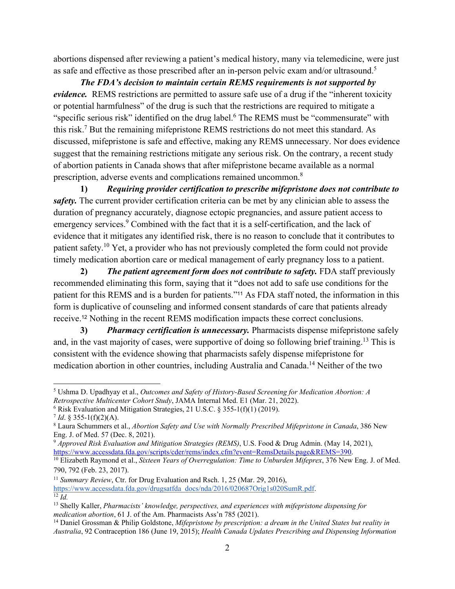abortions dispensed after reviewing a patient's medical history, many via telemedicine, were just as safe and effective as those prescribed after an in-person pelvic exam and/or ultrasound.<sup>5</sup>

*The FDA's decision to maintain certain REMS requirements is not supported by evidence.* REMS restrictions are permitted to assure safe use of a drug if the "inherent toxicity or potential harmfulness" of the drug is such that the restrictions are required to mitigate a "specific serious risk" identified on the drug label.<sup>6</sup> The REMS must be "commensurate" with this risk.<sup>7</sup> But the remaining mifepristone REMS restrictions do not meet this standard. As discussed, mifepristone is safe and effective, making any REMS unnecessary. Nor does evidence suggest that the remaining restrictions mitigate any serious risk. On the contrary, a recent study of abortion patients in Canada shows that after mifepristone became available as a normal prescription, adverse events and complications remained uncommon.8

**1)** *Requiring provider certification to prescribe mifepristone does not contribute to safety.* The current provider certification criteria can be met by any clinician able to assess the duration of pregnancy accurately, diagnose ectopic pregnancies, and assure patient access to emergency services.<sup>9</sup> Combined with the fact that it is a self-certification, and the lack of evidence that it mitigates any identified risk, there is no reason to conclude that it contributes to patient safety.<sup>10</sup> Yet, a provider who has not previously completed the form could not provide timely medication abortion care or medical management of early pregnancy loss to a patient.

**2)** *The patient agreement form does not contribute to safety.* FDA staff previously recommended eliminating this form, saying that it "does not add to safe use conditions for the patient for this REMS and is a burden for patients."11 As FDA staff noted, the information in this form is duplicative of counseling and informed consent standards of care that patients already receive.12 Nothing in the recent REMS modification impacts these correct conclusions.

**3)** *Pharmacy certification is unnecessary.* Pharmacists dispense mifepristone safely and, in the vast majority of cases, were supportive of doing so following brief training.13 This is consistent with the evidence showing that pharmacists safely dispense mifepristone for medication abortion in other countries, including Australia and Canada.14 Neither of the two

<sup>5</sup> Ushma D. Upadhyay et al., *Outcomes and Safety of History-Based Screening for Medication Abortion: A Retrospective Multicenter Cohort Study*, JAMA Internal Med. E1 (Mar. 21, 2022).

 $6$  Risk Evaluation and Mitigation Strategies, 21 U.S.C. § 355-1(f)(1) (2019).

 $7$  *Id.* § 355-1(f)(2)(A).

Laura Schummers et al., *Abortion Safety and Use with Normally Prescribed Mifepristone in Canada*, 386 New Eng. J. of Med. 57 (Dec. 8, 2021).

<sup>9</sup> *Approved Risk Evaluation and Mitigation Strategies (REMS)*, U.S. Food & Drug Admin. (May 14, 2021),

https://www.accessdata.fda.gov/scripts/cder/rems/index.cfm?event=RemsDetails.page&REMS=390. 10 Elizabeth Raymond et al., *Sixteen Years of Overregulation: Time to Unburden Mifeprex*, 376 New Eng. J. of Med. 790, 792 (Feb. 23, 2017).

<sup>&</sup>lt;sup>11</sup> *Summary Review*, Ctr. for Drug Evaluation and Rsch. 1, 25 (Mar. 29, 2016), https://www.accessdata.fda.gov/drugsatfda\_docs/nda/2016/020687Orig1s020SumR.pdf. 12 *Id.* 

<sup>&</sup>lt;sup>13</sup> Shelly Kaller, *Pharmacists' knowledge, perspectives, and experiences with mifepristone dispensing for medication abortion, 61 J. of the Am. Pharmacists Ass'n 785 (2021).* 

<sup>&</sup>lt;sup>14</sup> Daniel Grossman & Philip Goldstone, *Mifepristone by prescription: a dream in the United States but reality in Australia*, 92 Contraception 186 (June 19, 2015); *Health Canada Updates Prescribing and Dispensing Information*